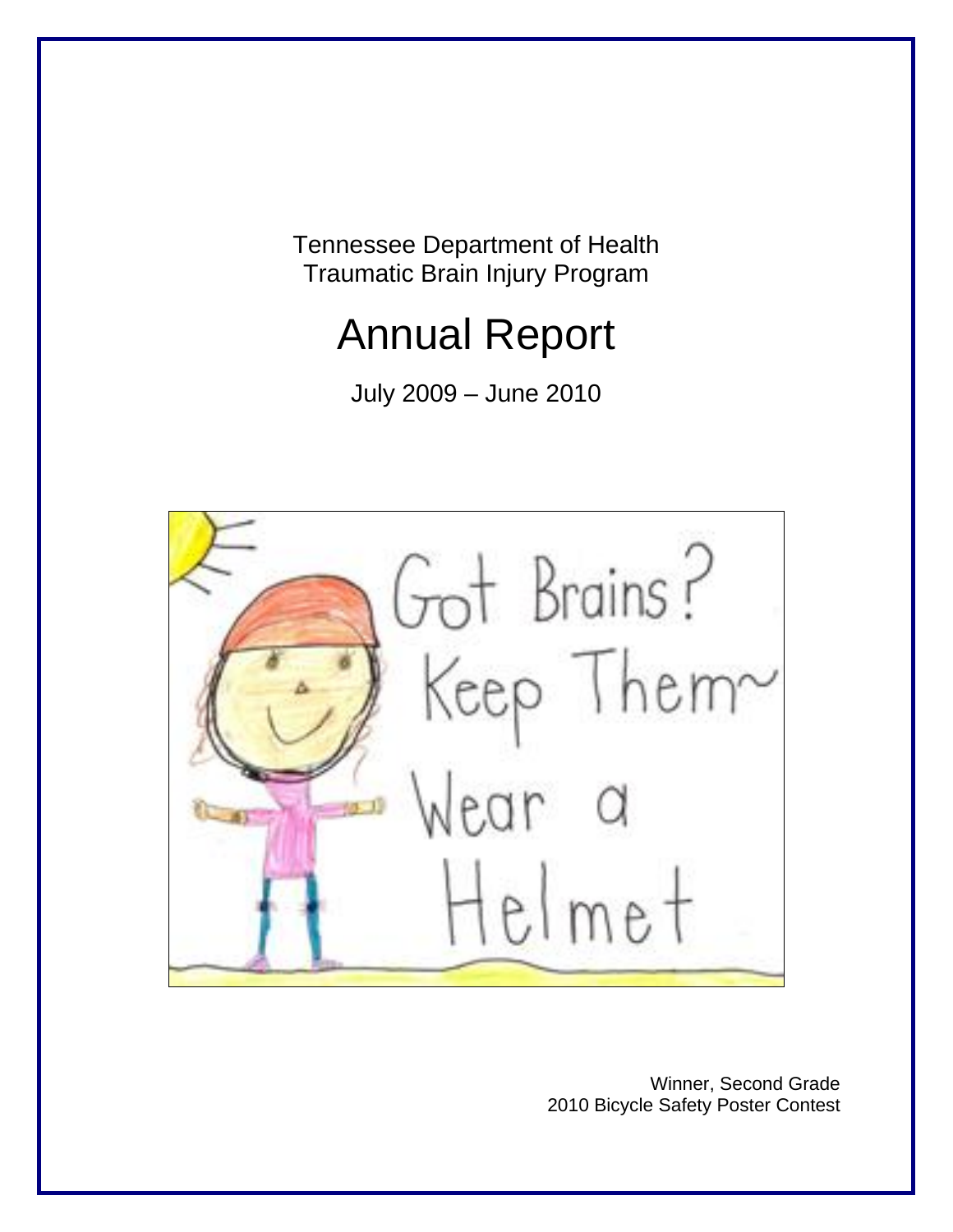Tennessee Department of Health Traumatic Brain Injury Program

# Annual Report

July 2009 – June 2010



Winner, Second Grade 2010 Bicycle Safety Poster Contest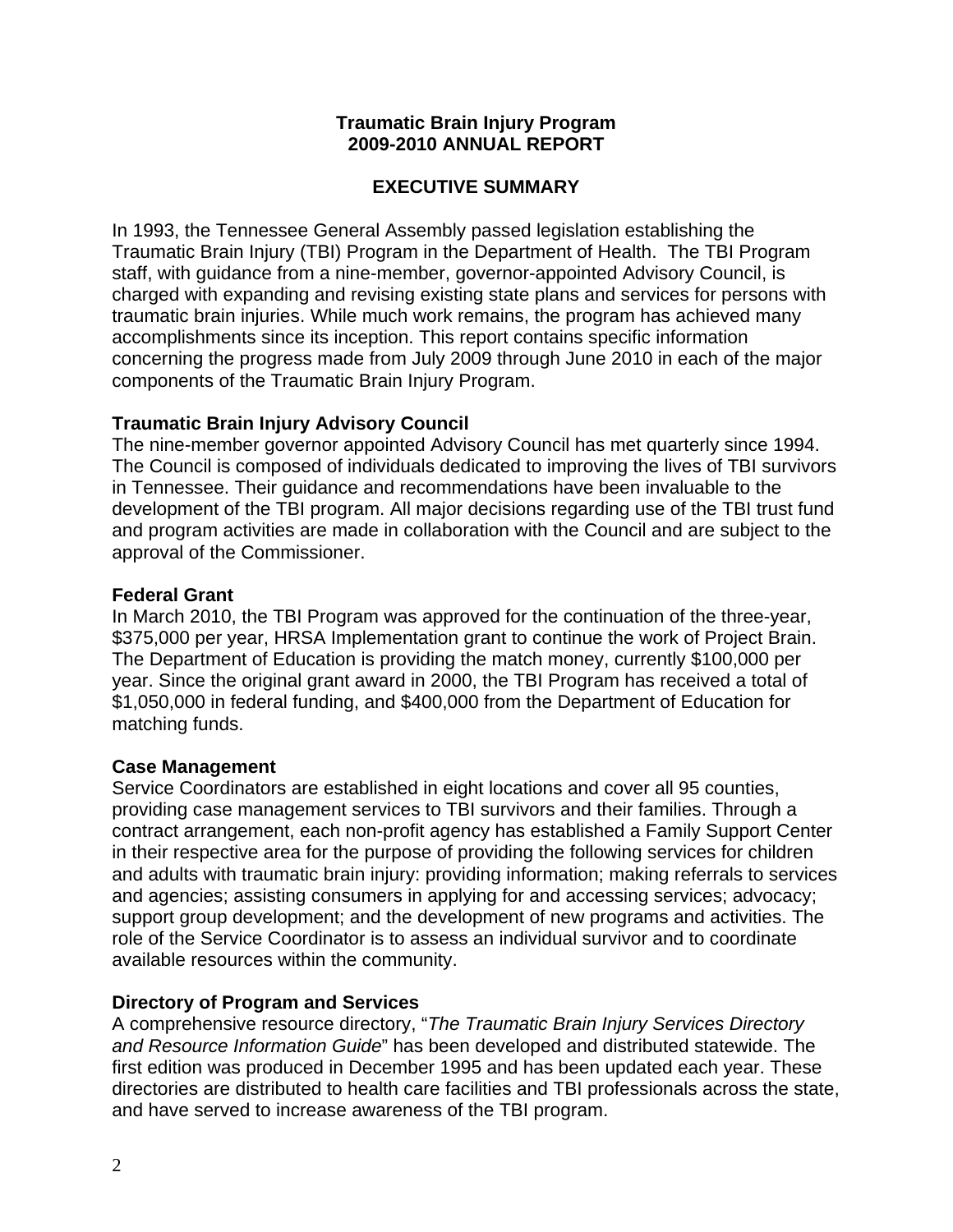## **Traumatic Brain Injury Program 2009-2010 ANNUAL REPORT**

## **EXECUTIVE SUMMARY**

In 1993, the Tennessee General Assembly passed legislation establishing the Traumatic Brain Injury (TBI) Program in the Department of Health. The TBI Program staff, with guidance from a nine-member, governor-appointed Advisory Council, is charged with expanding and revising existing state plans and services for persons with traumatic brain injuries. While much work remains, the program has achieved many accomplishments since its inception. This report contains specific information concerning the progress made from July 2009 through June 2010 in each of the major components of the Traumatic Brain Injury Program.

## **Traumatic Brain Injury Advisory Council**

The nine-member governor appointed Advisory Council has met quarterly since 1994. The Council is composed of individuals dedicated to improving the lives of TBI survivors in Tennessee. Their guidance and recommendations have been invaluable to the development of the TBI program. All major decisions regarding use of the TBI trust fund and program activities are made in collaboration with the Council and are subject to the approval of the Commissioner.

## **Federal Grant**

In March 2010, the TBI Program was approved for the continuation of the three-year, \$375,000 per year, HRSA Implementation grant to continue the work of Project Brain. The Department of Education is providing the match money, currently \$100,000 per year. Since the original grant award in 2000, the TBI Program has received a total of \$1,050,000 in federal funding, and \$400,000 from the Department of Education for matching funds.

## **Case Management**

Service Coordinators are established in eight locations and cover all 95 counties, providing case management services to TBI survivors and their families. Through a contract arrangement, each non-profit agency has established a Family Support Center in their respective area for the purpose of providing the following services for children and adults with traumatic brain injury: providing information; making referrals to services and agencies; assisting consumers in applying for and accessing services; advocacy; support group development; and the development of new programs and activities. The role of the Service Coordinator is to assess an individual survivor and to coordinate available resources within the community.

## **Directory of Program and Services**

A comprehensive resource directory, "*The Traumatic Brain Injury Services Directory and Resource Information Guide*" has been developed and distributed statewide. The first edition was produced in December 1995 and has been updated each year. These directories are distributed to health care facilities and TBI professionals across the state, and have served to increase awareness of the TBI program.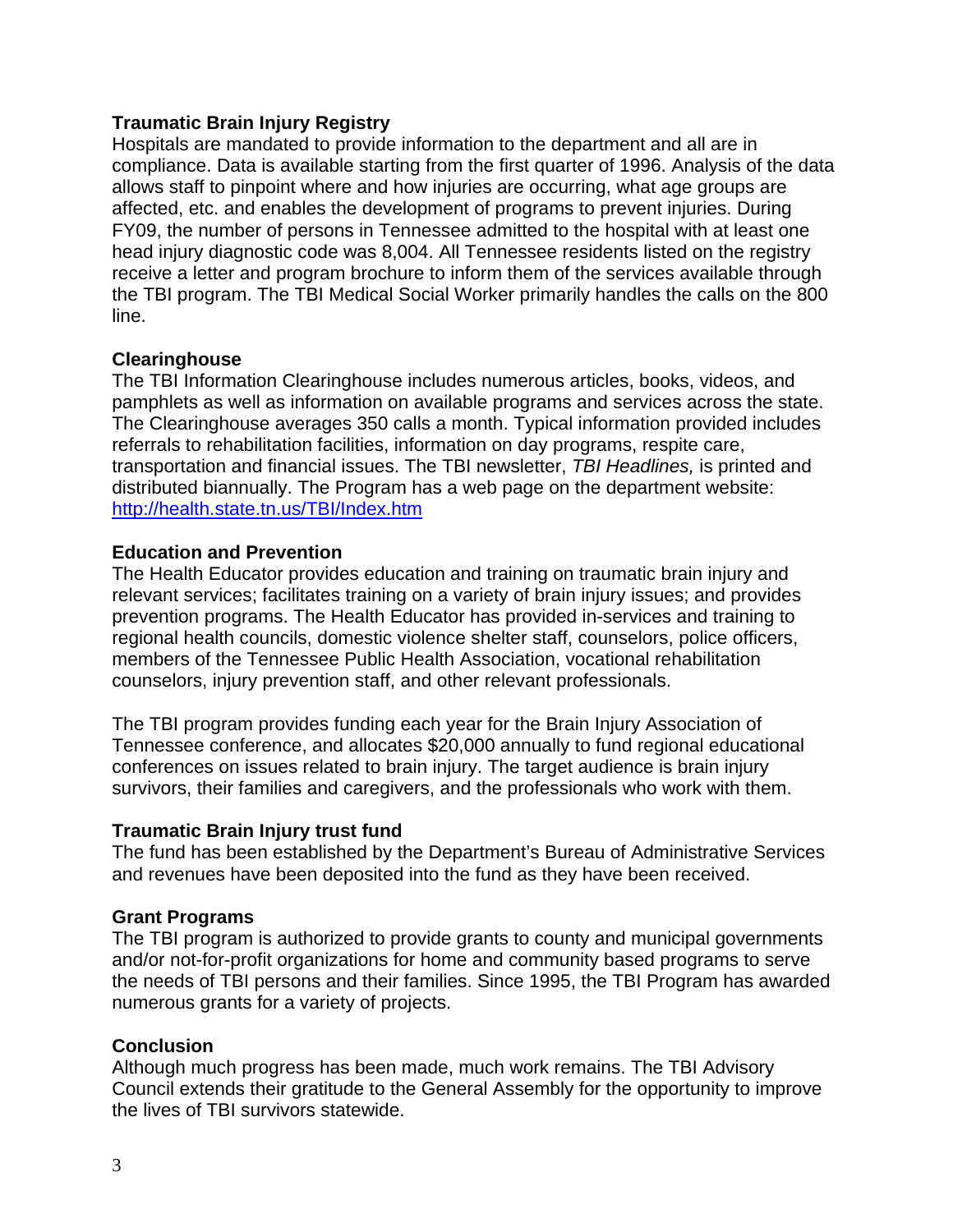## **Traumatic Brain Injury Registry**

Hospitals are mandated to provide information to the department and all are in compliance. Data is available starting from the first quarter of 1996. Analysis of the data allows staff to pinpoint where and how injuries are occurring, what age groups are affected, etc. and enables the development of programs to prevent injuries. During FY09, the number of persons in Tennessee admitted to the hospital with at least one head injury diagnostic code was 8,004. All Tennessee residents listed on the registry receive a letter and program brochure to inform them of the services available through the TBI program. The TBI Medical Social Worker primarily handles the calls on the 800 line.

## **Clearinghouse**

The TBI Information Clearinghouse includes numerous articles, books, videos, and pamphlets as well as information on available programs and services across the state. The Clearinghouse averages 350 calls a month. Typical information provided includes referrals to rehabilitation facilities, information on day programs, respite care, transportation and financial issues. The TBI newsletter, *TBI Headlines,* is printed and distributed biannually. The Program has a web page on the department website: <http://health.state.tn.us/TBI/Index.htm>

## **Education and Prevention**

The Health Educator provides education and training on traumatic brain injury and relevant services; facilitates training on a variety of brain injury issues; and provides prevention programs. The Health Educator has provided in-services and training to regional health councils, domestic violence shelter staff, counselors, police officers, members of the Tennessee Public Health Association, vocational rehabilitation counselors, injury prevention staff, and other relevant professionals.

The TBI program provides funding each year for the Brain Injury Association of Tennessee conference, and allocates \$20,000 annually to fund regional educational conferences on issues related to brain injury. The target audience is brain injury survivors, their families and caregivers, and the professionals who work with them.

## **Traumatic Brain Injury trust fund**

The fund has been established by the Department's Bureau of Administrative Services and revenues have been deposited into the fund as they have been received.

## **Grant Programs**

The TBI program is authorized to provide grants to county and municipal governments and/or not-for-profit organizations for home and community based programs to serve the needs of TBI persons and their families. Since 1995, the TBI Program has awarded numerous grants for a variety of projects.

# **Conclusion**

Although much progress has been made, much work remains. The TBI Advisory Council extends their gratitude to the General Assembly for the opportunity to improve the lives of TBI survivors statewide.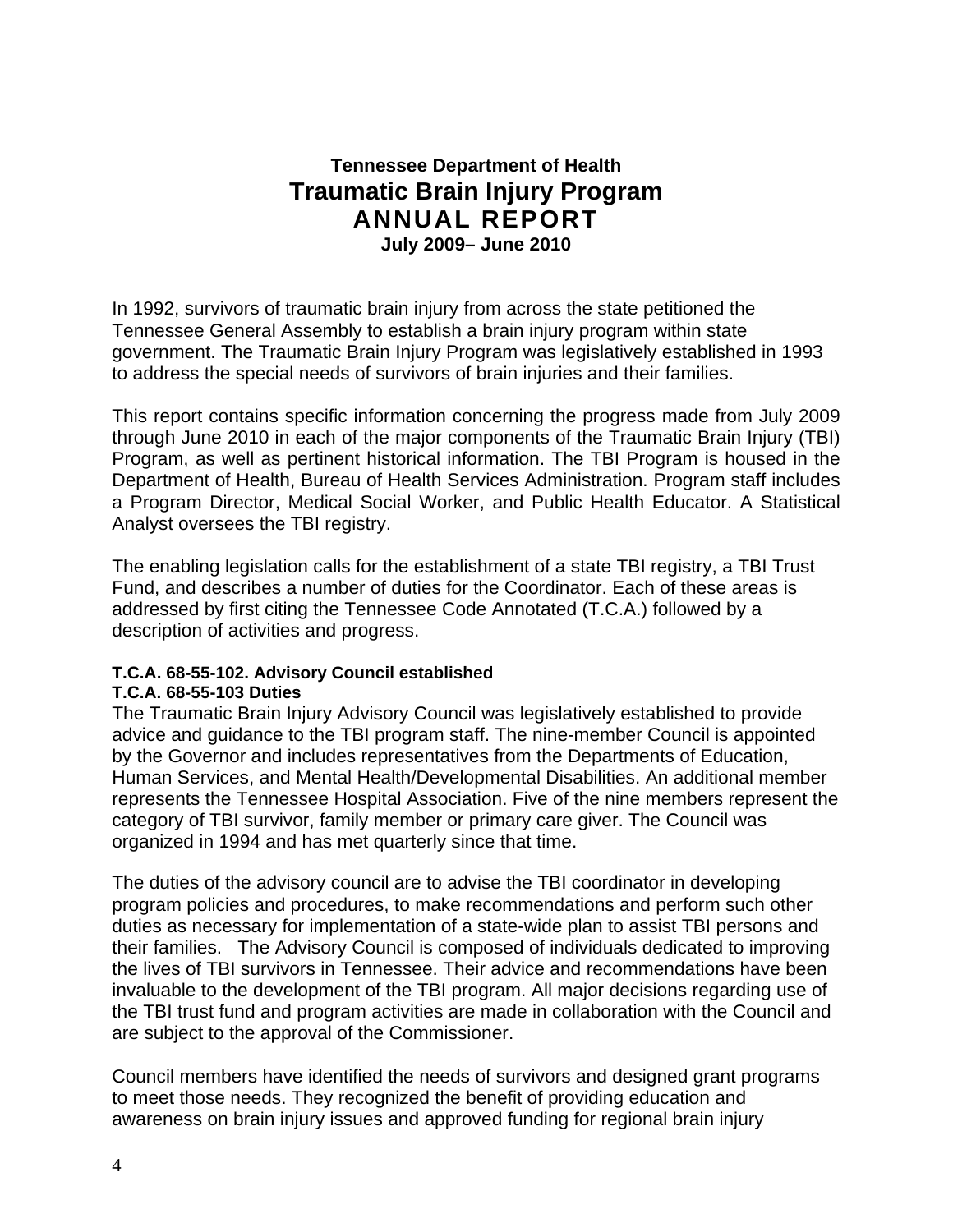# **Tennessee Department of Health Traumatic Brain Injury Program ANNUAL REPORT July 2009– June 2010**

In 1992, survivors of traumatic brain injury from across the state petitioned the Tennessee General Assembly to establish a brain injury program within state government. The Traumatic Brain Injury Program was legislatively established in 1993 to address the special needs of survivors of brain injuries and their families.

This report contains specific information concerning the progress made from July 2009 through June 2010 in each of the major components of the Traumatic Brain Injury (TBI) Program, as well as pertinent historical information. The TBI Program is housed in the Department of Health, Bureau of Health Services Administration. Program staff includes a Program Director, Medical Social Worker, and Public Health Educator. A Statistical Analyst oversees the TBI registry.

The enabling legislation calls for the establishment of a state TBI registry, a TBI Trust Fund, and describes a number of duties for the Coordinator. Each of these areas is addressed by first citing the Tennessee Code Annotated (T.C.A.) followed by a description of activities and progress.

# **T.C.A. 68-55-102. Advisory Council established**

## **T.C.A. 68-55-103 Duties**

The Traumatic Brain Injury Advisory Council was legislatively established to provide advice and guidance to the TBI program staff. The nine-member Council is appointed by the Governor and includes representatives from the Departments of Education, Human Services, and Mental Health/Developmental Disabilities. An additional member represents the Tennessee Hospital Association. Five of the nine members represent the category of TBI survivor, family member or primary care giver. The Council was organized in 1994 and has met quarterly since that time.

The duties of the advisory council are to advise the TBI coordinator in developing program policies and procedures, to make recommendations and perform such other duties as necessary for implementation of a state-wide plan to assist TBI persons and their families. The Advisory Council is composed of individuals dedicated to improving the lives of TBI survivors in Tennessee. Their advice and recommendations have been invaluable to the development of the TBI program. All major decisions regarding use of the TBI trust fund and program activities are made in collaboration with the Council and are subject to the approval of the Commissioner.

Council members have identified the needs of survivors and designed grant programs to meet those needs. They recognized the benefit of providing education and awareness on brain injury issues and approved funding for regional brain injury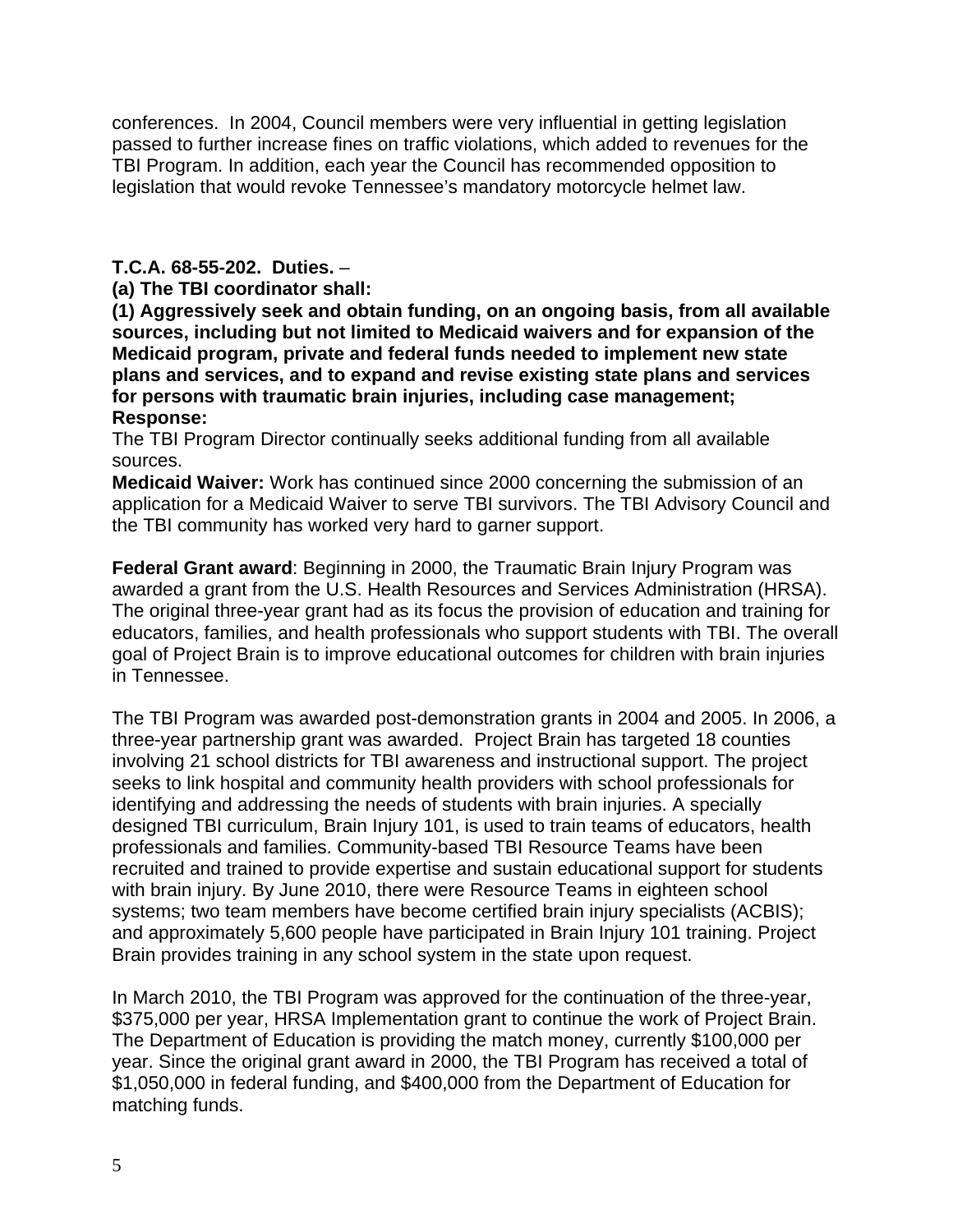conferences. In 2004, Council members were very influential in getting legislation passed to further increase fines on traffic violations, which added to revenues for the TBI Program. In addition, each year the Council has recommended opposition to legislation that would revoke Tennessee's mandatory motorcycle helmet law.

## **T.C.A. 68-55-202. Duties.** –

**(a) The TBI coordinator shall:** 

**(1) Aggressively seek and obtain funding, on an ongoing basis, from all available sources, including but not limited to Medicaid waivers and for expansion of the Medicaid program, private and federal funds needed to implement new state plans and services, and to expand and revise existing state plans and services for persons with traumatic brain injuries, including case management; Response:** 

The TBI Program Director continually seeks additional funding from all available sources.

**Medicaid Waiver:** Work has continued since 2000 concerning the submission of an application for a Medicaid Waiver to serve TBI survivors. The TBI Advisory Council and the TBI community has worked very hard to garner support.

**Federal Grant award**: Beginning in 2000, the Traumatic Brain Injury Program was awarded a grant from the U.S. Health Resources and Services Administration (HRSA). The original three-year grant had as its focus the provision of education and training for educators, families, and health professionals who support students with TBI. The overall goal of Project Brain is to improve educational outcomes for children with brain injuries in Tennessee.

The TBI Program was awarded post-demonstration grants in 2004 and 2005. In 2006, a three-year partnership grant was awarded. Project Brain has targeted 18 counties involving 21 school districts for TBI awareness and instructional support. The project seeks to link hospital and community health providers with school professionals for identifying and addressing the needs of students with brain injuries. A specially designed TBI curriculum, Brain Injury 101, is used to train teams of educators, health professionals and families. Community-based TBI Resource Teams have been recruited and trained to provide expertise and sustain educational support for students with brain injury. By June 2010, there were Resource Teams in eighteen school systems; two team members have become certified brain injury specialists (ACBIS); and approximately 5,600 people have participated in Brain Injury 101 training. Project Brain provides training in any school system in the state upon request.

In March 2010, the TBI Program was approved for the continuation of the three-year, \$375,000 per year, HRSA Implementation grant to continue the work of Project Brain. The Department of Education is providing the match money, currently \$100,000 per year. Since the original grant award in 2000, the TBI Program has received a total of \$1,050,000 in federal funding, and \$400,000 from the Department of Education for matching funds.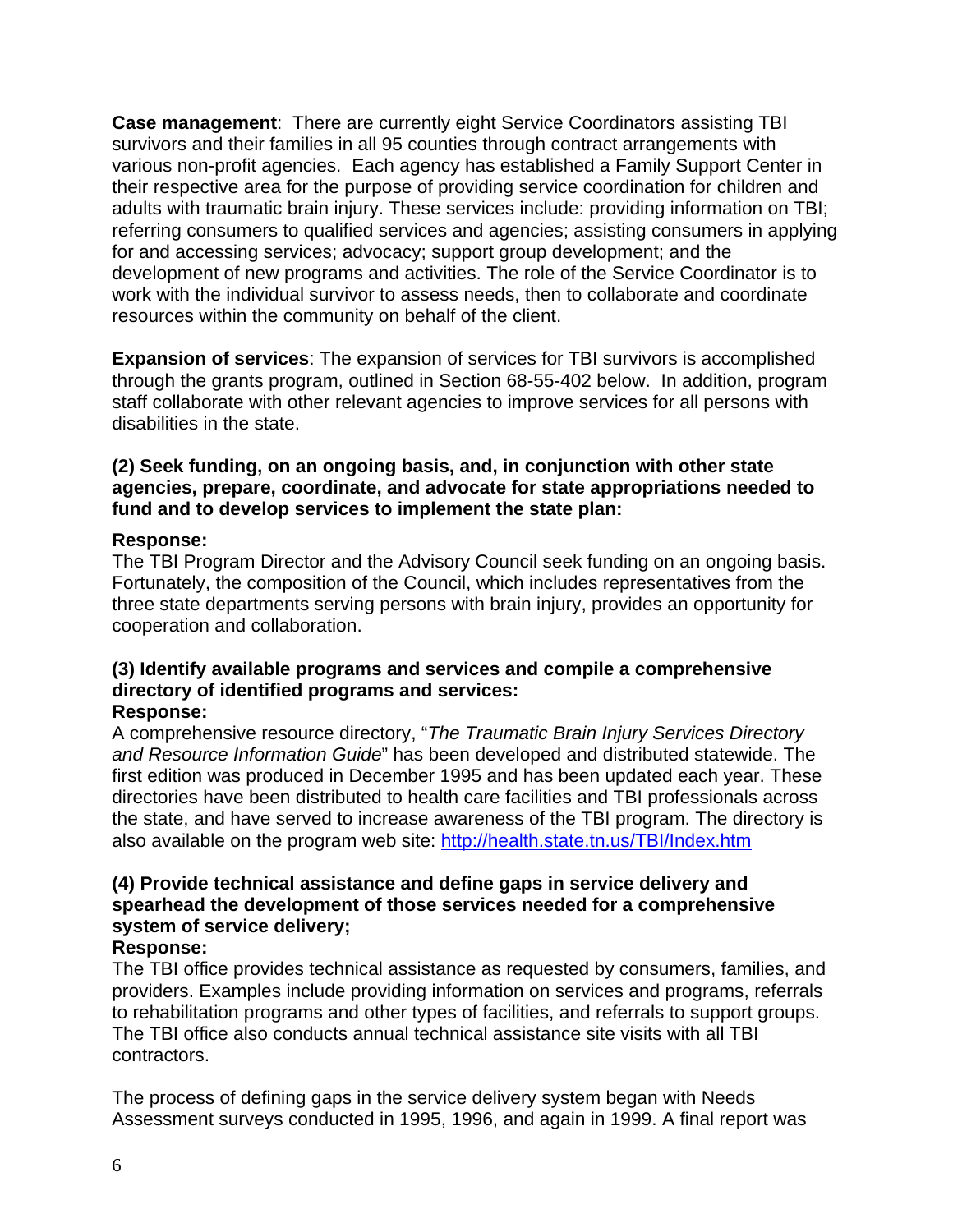**Case management**: There are currently eight Service Coordinators assisting TBI survivors and their families in all 95 counties through contract arrangements with various non-profit agencies. Each agency has established a Family Support Center in their respective area for the purpose of providing service coordination for children and adults with traumatic brain injury. These services include: providing information on TBI; referring consumers to qualified services and agencies; assisting consumers in applying for and accessing services; advocacy; support group development; and the development of new programs and activities. The role of the Service Coordinator is to work with the individual survivor to assess needs, then to collaborate and coordinate resources within the community on behalf of the client.

**Expansion of services**: The expansion of services for TBI survivors is accomplished through the grants program, outlined in Section 68-55-402 below. In addition, program staff collaborate with other relevant agencies to improve services for all persons with disabilities in the state.

## **(2) Seek funding, on an ongoing basis, and, in conjunction with other state agencies, prepare, coordinate, and advocate for state appropriations needed to fund and to develop services to implement the state plan:**

## **Response:**

The TBI Program Director and the Advisory Council seek funding on an ongoing basis. Fortunately, the composition of the Council, which includes representatives from the three state departments serving persons with brain injury, provides an opportunity for cooperation and collaboration.

#### **(3) Identify available programs and services and compile a comprehensive directory of identified programs and services: Response:**

## A comprehensive resource directory, "*The Traumatic Brain Injury Services Directory and Resource Information Guide*" has been developed and distributed statewide. The first edition was produced in December 1995 and has been updated each year. These directories have been distributed to health care facilities and TBI professionals across the state, and have served to increase awareness of the TBI program. The directory is also available on the program web site:<http://health.state.tn.us/TBI/Index.htm>

# **(4) Provide technical assistance and define gaps in service delivery and spearhead the development of those services needed for a comprehensive system of service delivery;**

# **Response:**

The TBI office provides technical assistance as requested by consumers, families, and providers. Examples include providing information on services and programs, referrals to rehabilitation programs and other types of facilities, and referrals to support groups. The TBI office also conducts annual technical assistance site visits with all TBI contractors.

The process of defining gaps in the service delivery system began with Needs Assessment surveys conducted in 1995, 1996, and again in 1999. A final report was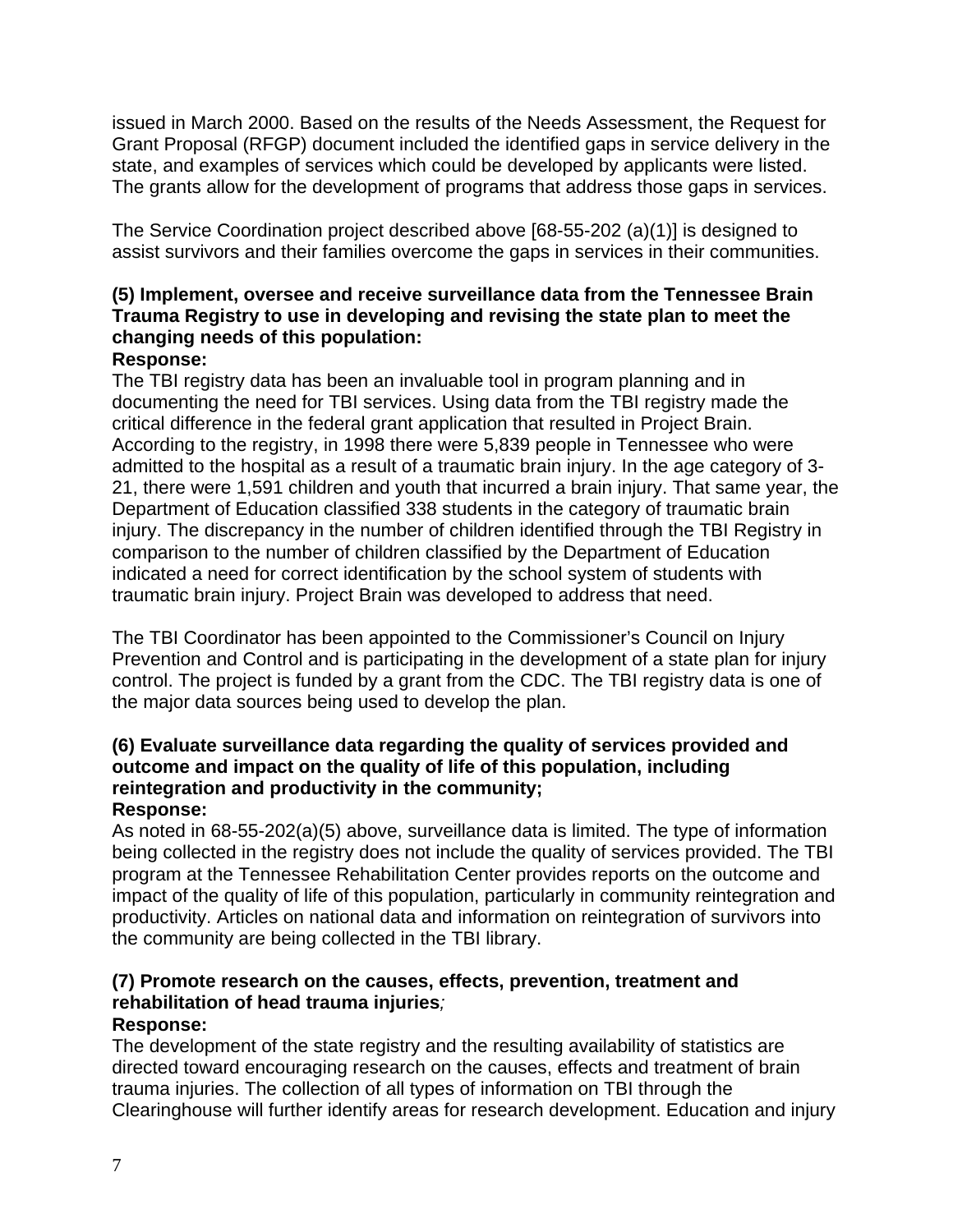issued in March 2000. Based on the results of the Needs Assessment, the Request for Grant Proposal (RFGP) document included the identified gaps in service delivery in the state, and examples of services which could be developed by applicants were listed. The grants allow for the development of programs that address those gaps in services.

The Service Coordination project described above [68-55-202 (a)(1)] is designed to assist survivors and their families overcome the gaps in services in their communities.

# **(5) Implement, oversee and receive surveillance data from the Tennessee Brain Trauma Registry to use in developing and revising the state plan to meet the changing needs of this population:**

# **Response:**

The TBI registry data has been an invaluable tool in program planning and in documenting the need for TBI services. Using data from the TBI registry made the critical difference in the federal grant application that resulted in Project Brain. According to the registry, in 1998 there were 5,839 people in Tennessee who were admitted to the hospital as a result of a traumatic brain injury. In the age category of 3- 21, there were 1,591 children and youth that incurred a brain injury. That same year, the Department of Education classified 338 students in the category of traumatic brain injury. The discrepancy in the number of children identified through the TBI Registry in comparison to the number of children classified by the Department of Education indicated a need for correct identification by the school system of students with traumatic brain injury. Project Brain was developed to address that need.

The TBI Coordinator has been appointed to the Commissioner's Council on Injury Prevention and Control and is participating in the development of a state plan for injury control. The project is funded by a grant from the CDC. The TBI registry data is one of the major data sources being used to develop the plan.

#### **(6) Evaluate surveillance data regarding the quality of services provided and outcome and impact on the quality of life of this population, including reintegration and productivity in the community; Response:**

As noted in 68-55-202(a)(5) above, surveillance data is limited. The type of information being collected in the registry does not include the quality of services provided. The TBI program at the Tennessee Rehabilitation Center provides reports on the outcome and impact of the quality of life of this population, particularly in community reintegration and productivity. Articles on national data and information on reintegration of survivors into the community are being collected in the TBI library.

# **(7) Promote research on the causes, effects, prevention, treatment and rehabilitation of head trauma injuries***;*

# **Response:**

The development of the state registry and the resulting availability of statistics are directed toward encouraging research on the causes, effects and treatment of brain trauma injuries. The collection of all types of information on TBI through the Clearinghouse will further identify areas for research development. Education and injury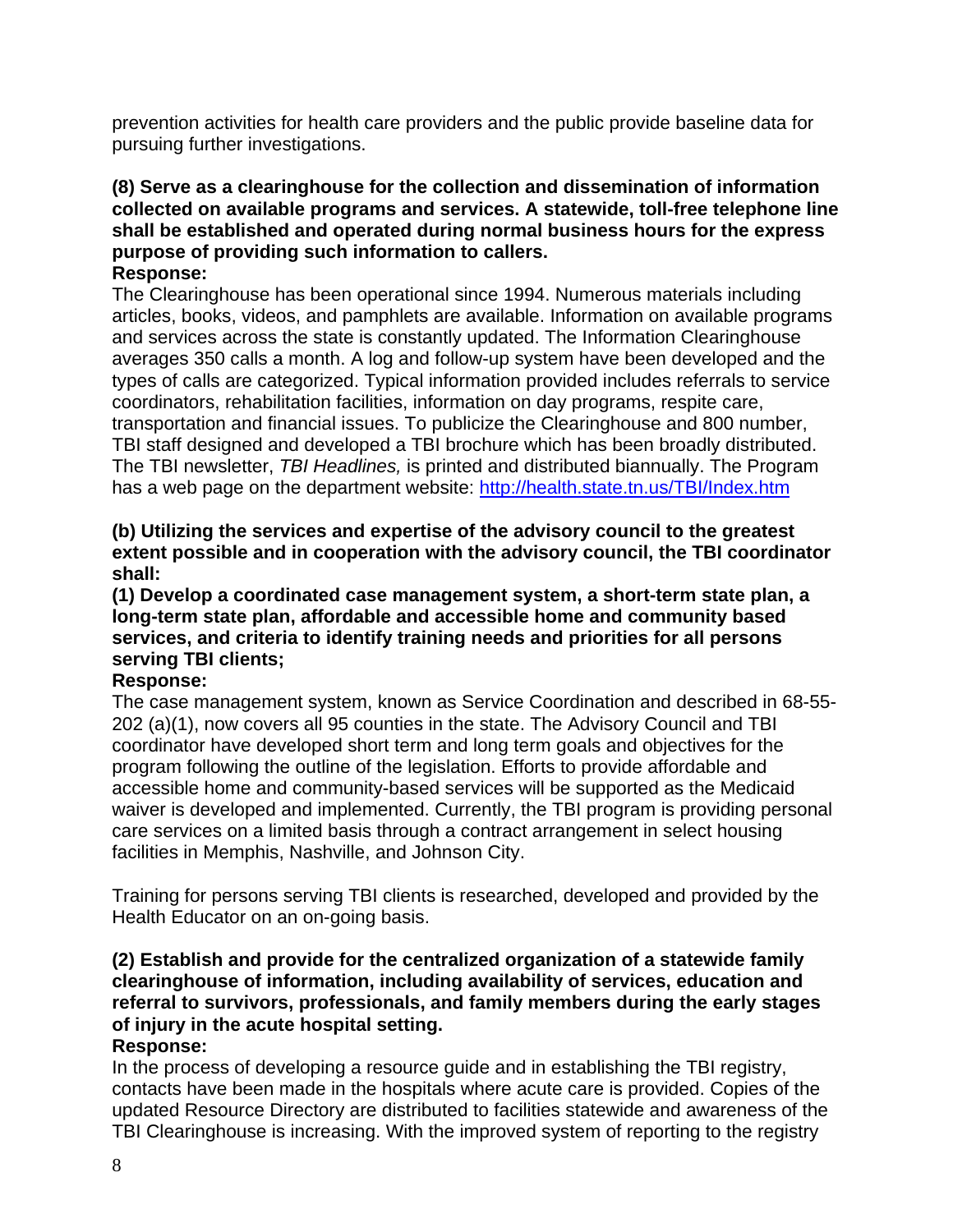prevention activities for health care providers and the public provide baseline data for pursuing further investigations.

### **(8) Serve as a clearinghouse for the collection and dissemination of information collected on available programs and services. A statewide, toll-free telephone line shall be established and operated during normal business hours for the express purpose of providing such information to callers. Response:**

The Clearinghouse has been operational since 1994. Numerous materials including articles, books, videos, and pamphlets are available. Information on available programs and services across the state is constantly updated. The Information Clearinghouse averages 350 calls a month. A log and follow-up system have been developed and the types of calls are categorized. Typical information provided includes referrals to service coordinators, rehabilitation facilities, information on day programs, respite care, transportation and financial issues. To publicize the Clearinghouse and 800 number, TBI staff designed and developed a TBI brochure which has been broadly distributed. The TBI newsletter, *TBI Headlines,* is printed and distributed biannually. The Program has a web page on the department website:<http://health.state.tn.us/TBI/Index.htm>

## **(b) Utilizing the services and expertise of the advisory council to the greatest extent possible and in cooperation with the advisory council, the TBI coordinator shall:**

## **(1) Develop a coordinated case management system, a short-term state plan, a long-term state plan, affordable and accessible home and community based services, and criteria to identify training needs and priorities for all persons serving TBI clients;**

# **Response:**

The case management system, known as Service Coordination and described in 68-55- 202 (a)(1), now covers all 95 counties in the state. The Advisory Council and TBI coordinator have developed short term and long term goals and objectives for the program following the outline of the legislation. Efforts to provide affordable and accessible home and community-based services will be supported as the Medicaid waiver is developed and implemented. Currently, the TBI program is providing personal care services on a limited basis through a contract arrangement in select housing facilities in Memphis, Nashville, and Johnson City.

Training for persons serving TBI clients is researched, developed and provided by the Health Educator on an on-going basis.

# **(2) Establish and provide for the centralized organization of a statewide family clearinghouse of information, including availability of services, education and referral to survivors, professionals, and family members during the early stages of injury in the acute hospital setting.**

# **Response:**

In the process of developing a resource guide and in establishing the TBI registry, contacts have been made in the hospitals where acute care is provided. Copies of the updated Resource Directory are distributed to facilities statewide and awareness of the TBI Clearinghouse is increasing. With the improved system of reporting to the registry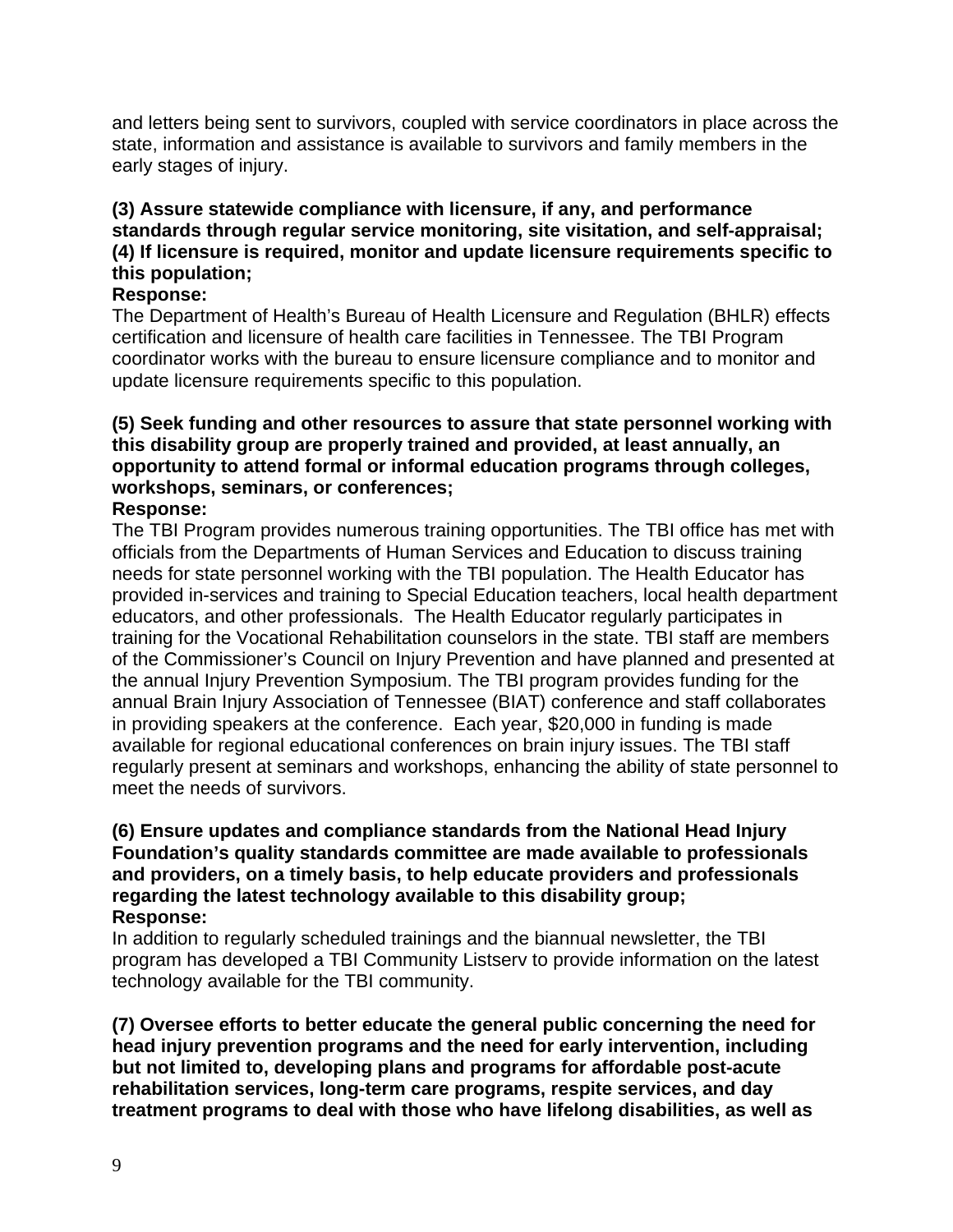and letters being sent to survivors, coupled with service coordinators in place across the state, information and assistance is available to survivors and family members in the early stages of injury.

# **(3) Assure statewide compliance with licensure, if any, and performance standards through regular service monitoring, site visitation, and self-appraisal; (4) If licensure is required, monitor and update licensure requirements specific to this population;**

## **Response:**

The Department of Health's Bureau of Health Licensure and Regulation (BHLR) effects certification and licensure of health care facilities in Tennessee. The TBI Program coordinator works with the bureau to ensure licensure compliance and to monitor and update licensure requirements specific to this population.

#### **(5) Seek funding and other resources to assure that state personnel working with this disability group are properly trained and provided, at least annually, an opportunity to attend formal or informal education programs through colleges, workshops, seminars, or conferences; Response:**

The TBI Program provides numerous training opportunities. The TBI office has met with officials from the Departments of Human Services and Education to discuss training needs for state personnel working with the TBI population. The Health Educator has provided in-services and training to Special Education teachers, local health department educators, and other professionals. The Health Educator regularly participates in training for the Vocational Rehabilitation counselors in the state. TBI staff are members of the Commissioner's Council on Injury Prevention and have planned and presented at the annual Injury Prevention Symposium. The TBI program provides funding for the annual Brain Injury Association of Tennessee (BIAT) conference and staff collaborates in providing speakers at the conference. Each year, \$20,000 in funding is made available for regional educational conferences on brain injury issues. The TBI staff regularly present at seminars and workshops, enhancing the ability of state personnel to meet the needs of survivors.

### **(6) Ensure updates and compliance standards from the National Head Injury Foundation's quality standards committee are made available to professionals and providers, on a timely basis, to help educate providers and professionals regarding the latest technology available to this disability group; Response:**

In addition to regularly scheduled trainings and the biannual newsletter, the TBI program has developed a TBI Community Listserv to provide information on the latest technology available for the TBI community.

**(7) Oversee efforts to better educate the general public concerning the need for head injury prevention programs and the need for early intervention, including but not limited to, developing plans and programs for affordable post-acute rehabilitation services, long-term care programs, respite services, and day treatment programs to deal with those who have lifelong disabilities, as well as**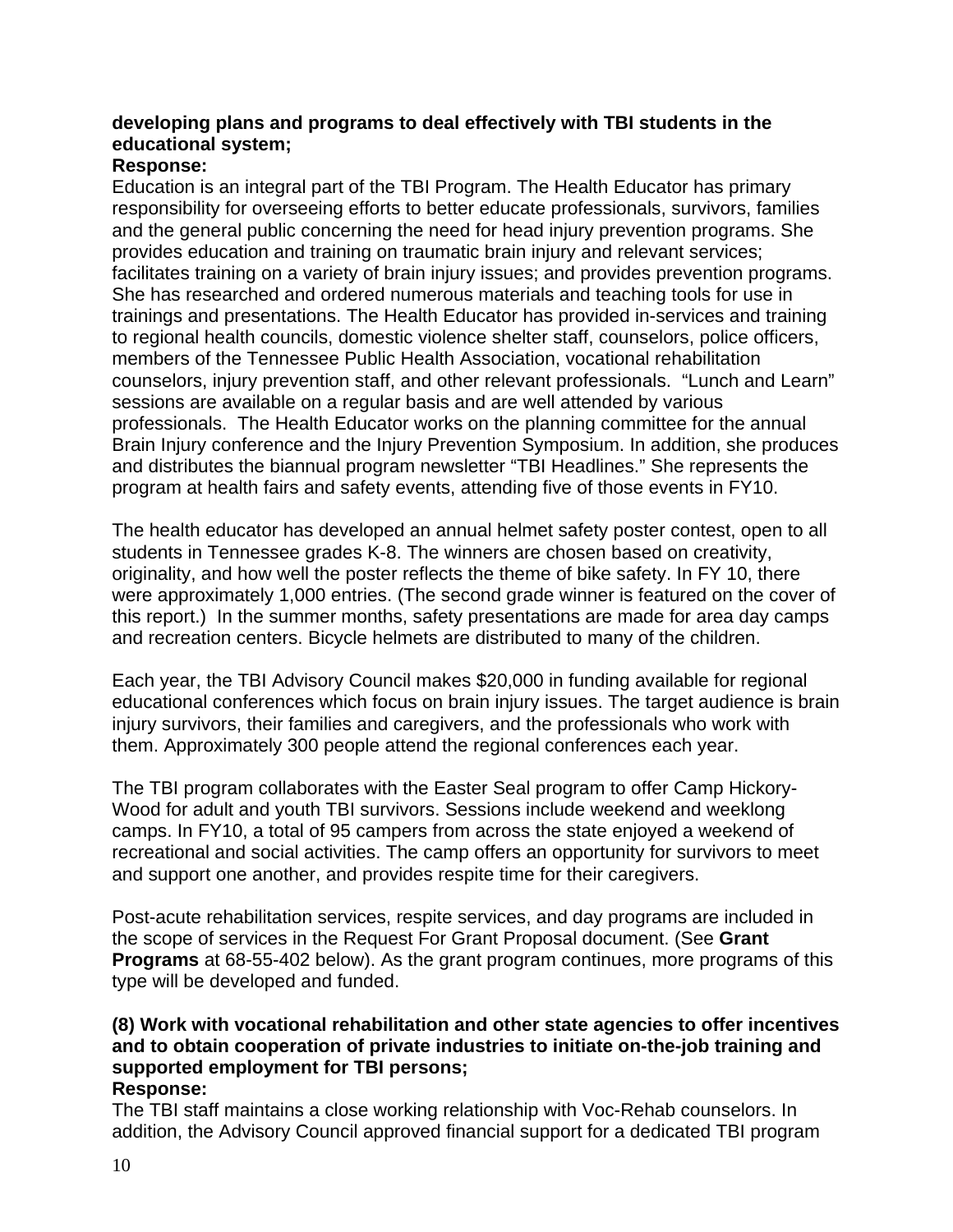# **developing plans and programs to deal effectively with TBI students in the educational system;**

## **Response:**

Education is an integral part of the TBI Program. The Health Educator has primary responsibility for overseeing efforts to better educate professionals, survivors, families and the general public concerning the need for head injury prevention programs. She provides education and training on traumatic brain injury and relevant services; facilitates training on a variety of brain injury issues; and provides prevention programs. She has researched and ordered numerous materials and teaching tools for use in trainings and presentations. The Health Educator has provided in-services and training to regional health councils, domestic violence shelter staff, counselors, police officers, members of the Tennessee Public Health Association, vocational rehabilitation counselors, injury prevention staff, and other relevant professionals."Lunch and Learn" sessions are available on a regular basis and are well attended by various professionals. The Health Educator works on the planning committee for the annual Brain Injury conference and the Injury Prevention Symposium. In addition, she produces and distributes the biannual program newsletter "TBI Headlines." She represents the program at health fairs and safety events, attending five of those events in FY10.

The health educator has developed an annual helmet safety poster contest, open to all students in Tennessee grades K-8. The winners are chosen based on creativity, originality, and how well the poster reflects the theme of bike safety. In FY 10, there were approximately 1,000 entries. (The second grade winner is featured on the cover of this report.) In the summer months, safety presentations are made for area day camps and recreation centers. Bicycle helmets are distributed to many of the children.

Each year, the TBI Advisory Council makes \$20,000 in funding available for regional educational conferences which focus on brain injury issues. The target audience is brain injury survivors, their families and caregivers, and the professionals who work with them. Approximately 300 people attend the regional conferences each year.

The TBI program collaborates with the Easter Seal program to offer Camp Hickory-Wood for adult and youth TBI survivors. Sessions include weekend and weeklong camps. In FY10, a total of 95 campers from across the state enjoyed a weekend of recreational and social activities. The camp offers an opportunity for survivors to meet and support one another, and provides respite time for their caregivers.

Post-acute rehabilitation services, respite services, and day programs are included in the scope of services in the Request For Grant Proposal document. (See **Grant Programs** at 68-55-402 below). As the grant program continues, more programs of this type will be developed and funded.

# **(8) Work with vocational rehabilitation and other state agencies to offer incentives and to obtain cooperation of private industries to initiate on-the-job training and supported employment for TBI persons;**

## **Response:**

The TBI staff maintains a close working relationship with Voc-Rehab counselors. In addition, the Advisory Council approved financial support for a dedicated TBI program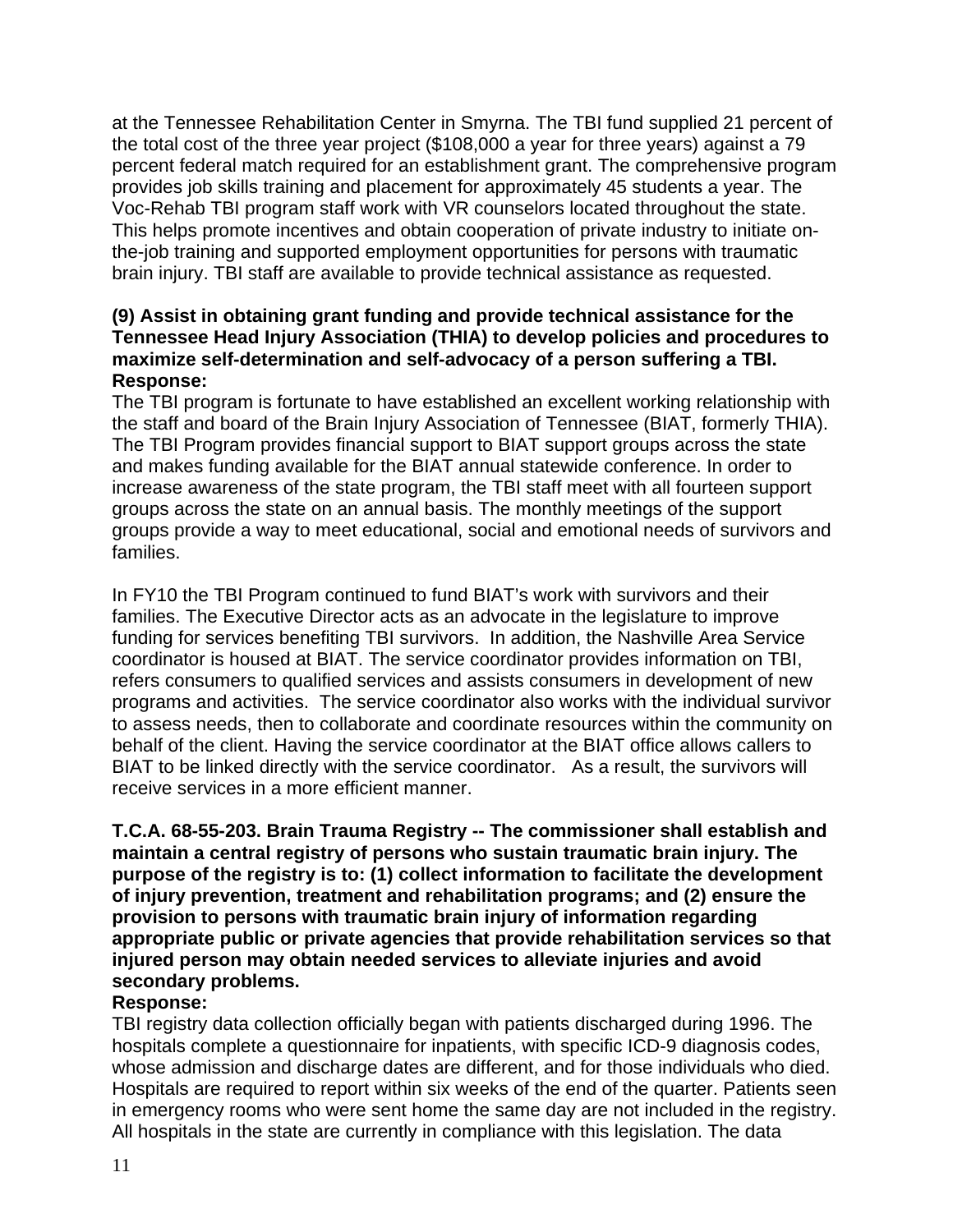at the Tennessee Rehabilitation Center in Smyrna. The TBI fund supplied 21 percent of the total cost of the three year project (\$108,000 a year for three years) against a 79 percent federal match required for an establishment grant. The comprehensive program provides job skills training and placement for approximately 45 students a year. The Voc-Rehab TBI program staff work with VR counselors located throughout the state. This helps promote incentives and obtain cooperation of private industry to initiate onthe-job training and supported employment opportunities for persons with traumatic brain injury. TBI staff are available to provide technical assistance as requested.

## **(9) Assist in obtaining grant funding and provide technical assistance for the Tennessee Head Injury Association (THIA) to develop policies and procedures to maximize self-determination and self-advocacy of a person suffering a TBI. Response:**

The TBI program is fortunate to have established an excellent working relationship with the staff and board of the Brain Injury Association of Tennessee (BIAT, formerly THIA). The TBI Program provides financial support to BIAT support groups across the state and makes funding available for the BIAT annual statewide conference. In order to increase awareness of the state program, the TBI staff meet with all fourteen support groups across the state on an annual basis. The monthly meetings of the support groups provide a way to meet educational, social and emotional needs of survivors and families.

In FY10 the TBI Program continued to fund BIAT's work with survivors and their families. The Executive Director acts as an advocate in the legislature to improve funding for services benefiting TBI survivors. In addition, the Nashville Area Service coordinator is housed at BIAT. The service coordinator provides information on TBI, refers consumers to qualified services and assists consumers in development of new programs and activities. The service coordinator also works with the individual survivor to assess needs, then to collaborate and coordinate resources within the community on behalf of the client. Having the service coordinator at the BIAT office allows callers to BIAT to be linked directly with the service coordinator. As a result, the survivors will receive services in a more efficient manner.

**T.C.A. 68-55-203. Brain Trauma Registry -- The commissioner shall establish and maintain a central registry of persons who sustain traumatic brain injury. The purpose of the registry is to: (1) collect information to facilitate the development of injury prevention, treatment and rehabilitation programs; and (2) ensure the provision to persons with traumatic brain injury of information regarding appropriate public or private agencies that provide rehabilitation services so that injured person may obtain needed services to alleviate injuries and avoid secondary problems.** 

## **Response:**

TBI registry data collection officially began with patients discharged during 1996. The hospitals complete a questionnaire for inpatients, with specific ICD-9 diagnosis codes, whose admission and discharge dates are different, and for those individuals who died. Hospitals are required to report within six weeks of the end of the quarter. Patients seen in emergency rooms who were sent home the same day are not included in the registry. All hospitals in the state are currently in compliance with this legislation. The data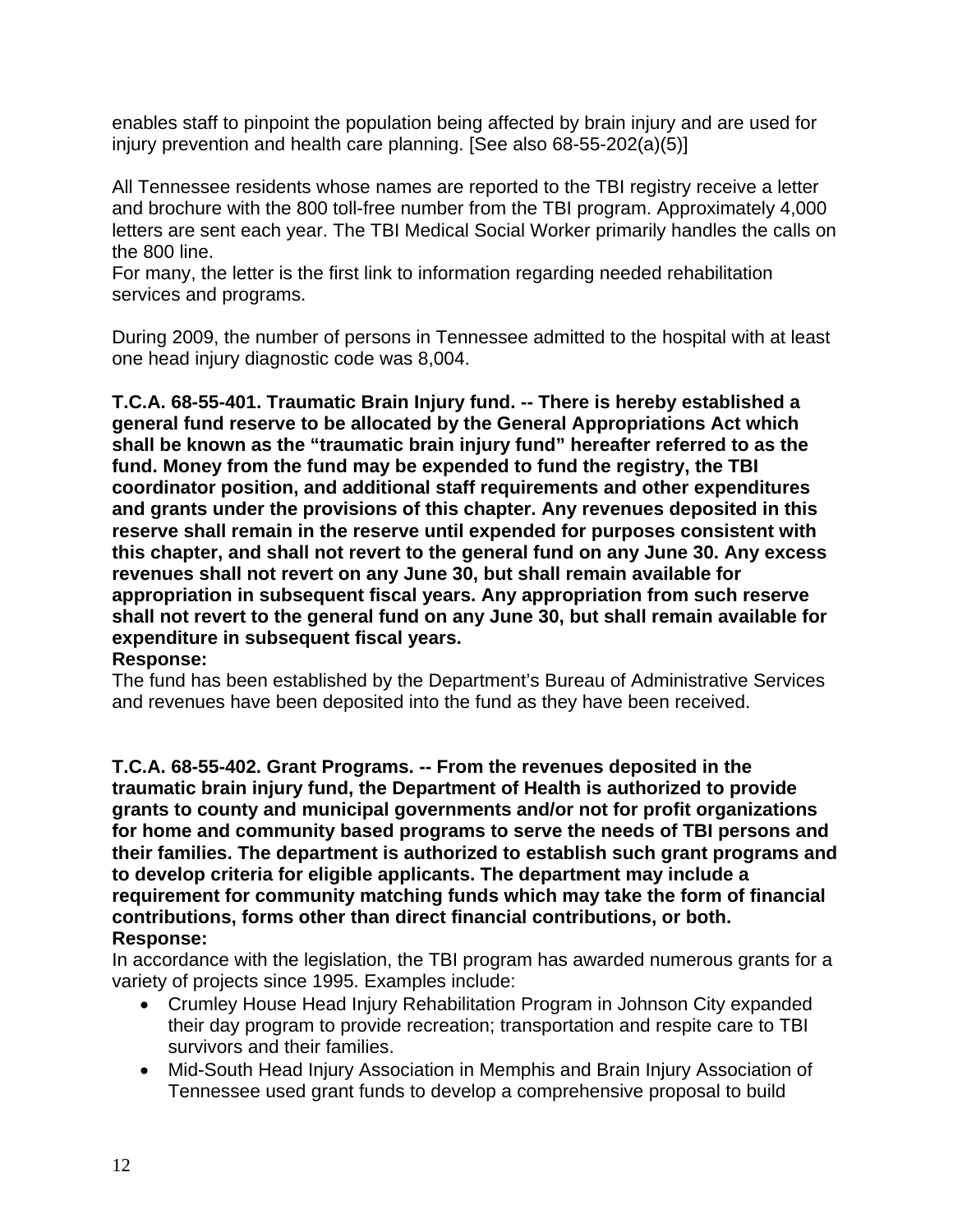enables staff to pinpoint the population being affected by brain injury and are used for injury prevention and health care planning. [See also 68-55-202(a)(5)]

All Tennessee residents whose names are reported to the TBI registry receive a letter and brochure with the 800 toll-free number from the TBI program. Approximately 4,000 letters are sent each year. The TBI Medical Social Worker primarily handles the calls on the 800 line.

For many, the letter is the first link to information regarding needed rehabilitation services and programs.

During 2009, the number of persons in Tennessee admitted to the hospital with at least one head injury diagnostic code was 8,004.

**T.C.A. 68-55-401. Traumatic Brain Injury fund. -- There is hereby established a general fund reserve to be allocated by the General Appropriations Act which shall be known as the "traumatic brain injury fund" hereafter referred to as the fund. Money from the fund may be expended to fund the registry, the TBI coordinator position, and additional staff requirements and other expenditures and grants under the provisions of this chapter. Any revenues deposited in this reserve shall remain in the reserve until expended for purposes consistent with this chapter, and shall not revert to the general fund on any June 30. Any excess revenues shall not revert on any June 30, but shall remain available for appropriation in subsequent fiscal years. Any appropriation from such reserve shall not revert to the general fund on any June 30, but shall remain available for expenditure in subsequent fiscal years.** 

**Response:** The fund has been established by the Department's Bureau of Administrative Services

and revenues have been deposited into the fund as they have been received.

**T.C.A. 68-55-402. Grant Programs. -- From the revenues deposited in the traumatic brain injury fund, the Department of Health is authorized to provide grants to county and municipal governments and/or not for profit organizations for home and community based programs to serve the needs of TBI persons and their families. The department is authorized to establish such grant programs and to develop criteria for eligible applicants. The department may include a requirement for community matching funds which may take the form of financial contributions, forms other than direct financial contributions, or both. Response:** 

In accordance with the legislation, the TBI program has awarded numerous grants for a variety of projects since 1995. Examples include:

- Crumley House Head Injury Rehabilitation Program in Johnson City expanded their day program to provide recreation; transportation and respite care to TBI survivors and their families.
- Mid-South Head Injury Association in Memphis and Brain Injury Association of Tennessee used grant funds to develop a comprehensive proposal to build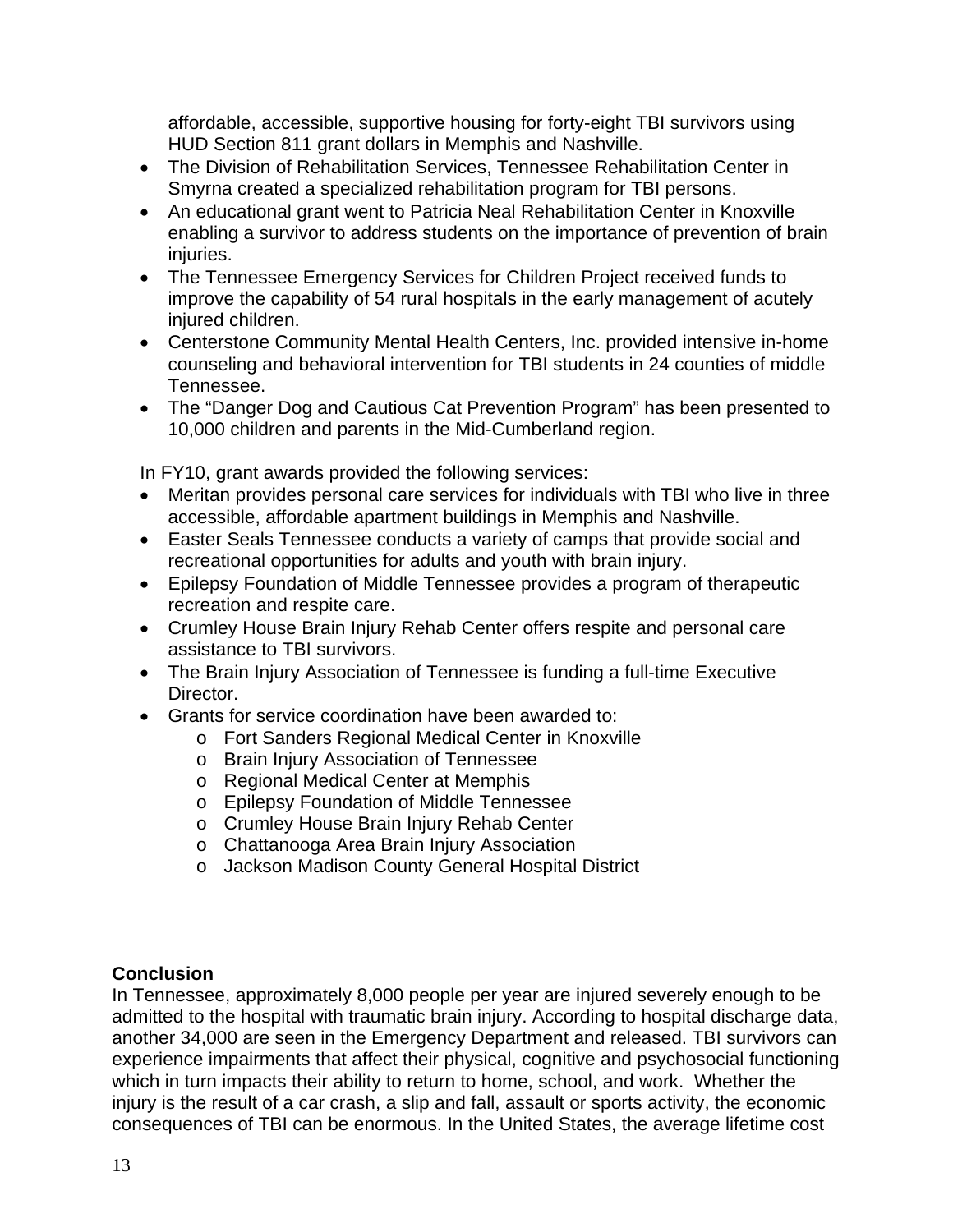affordable, accessible, supportive housing for forty-eight TBI survivors using HUD Section 811 grant dollars in Memphis and Nashville.

- The Division of Rehabilitation Services, Tennessee Rehabilitation Center in Smyrna created a specialized rehabilitation program for TBI persons.
- An educational grant went to Patricia Neal Rehabilitation Center in Knoxville enabling a survivor to address students on the importance of prevention of brain injuries.
- The Tennessee Emergency Services for Children Project received funds to improve the capability of 54 rural hospitals in the early management of acutely injured children.
- Centerstone Community Mental Health Centers, Inc. provided intensive in-home counseling and behavioral intervention for TBI students in 24 counties of middle Tennessee.
- The "Danger Dog and Cautious Cat Prevention Program" has been presented to 10,000 children and parents in the Mid-Cumberland region.

In FY10, grant awards provided the following services:

- Meritan provides personal care services for individuals with TBI who live in three accessible, affordable apartment buildings in Memphis and Nashville.
- Easter Seals Tennessee conducts a variety of camps that provide social and recreational opportunities for adults and youth with brain injury.
- Epilepsy Foundation of Middle Tennessee provides a program of therapeutic recreation and respite care.
- Crumley House Brain Injury Rehab Center offers respite and personal care assistance to TBI survivors.
- The Brain Injury Association of Tennessee is funding a full-time Executive Director.
- Grants for service coordination have been awarded to:
	- o Fort Sanders Regional Medical Center in Knoxville
	- o Brain Injury Association of Tennessee
	- o Regional Medical Center at Memphis
	- o Epilepsy Foundation of Middle Tennessee
	- o Crumley House Brain Injury Rehab Center
	- o Chattanooga Area Brain Injury Association
	- o Jackson Madison County General Hospital District

# **Conclusion**

In Tennessee, approximately 8,000 people per year are injured severely enough to be admitted to the hospital with traumatic brain injury. According to hospital discharge data, another 34,000 are seen in the Emergency Department and released. TBI survivors can experience impairments that affect their physical, cognitive and psychosocial functioning which in turn impacts their ability to return to home, school, and work. Whether the injury is the result of a car crash, a slip and fall, assault or sports activity, the economic consequences of TBI can be enormous. In the United States, the average lifetime cost